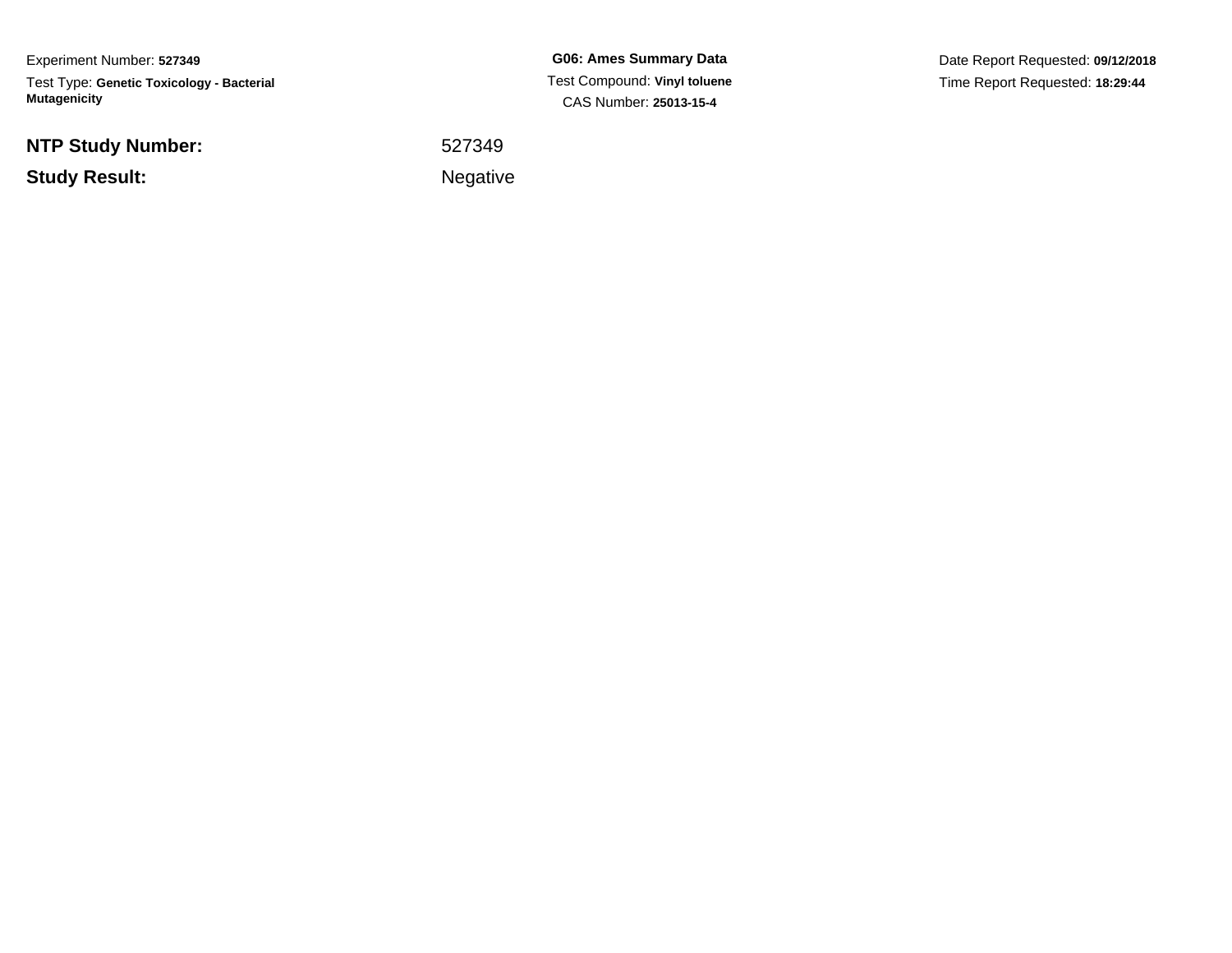Experiment Number: **527349**Test Type: **Genetic Toxicology - Bacterial Mutagenicity**

**NTP Study Number:**

**Study Result:**

**G06: Ames Summary Data** Test Compound: **Vinyl toluene**CAS Number: **25013-15-4**

Date Report Requested: **09/12/2018**Time Report Requested: **18:29:44**

 <sup>527349</sup>Negative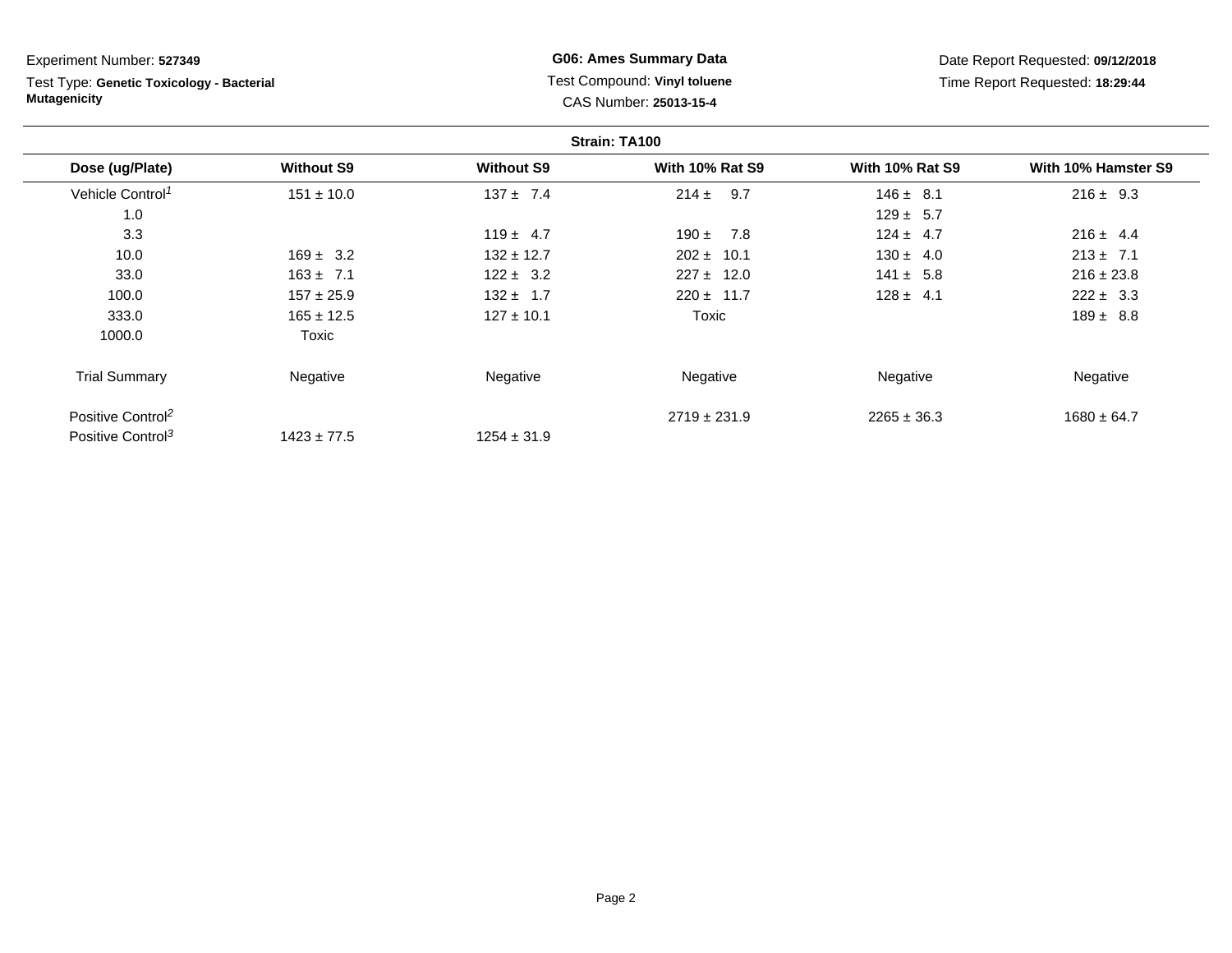Test Type: **Genetic Toxicology - Bacterial Mutagenicity**

**G06: Ames Summary Data** Test Compound: **Vinyl toluene**CAS Number: **25013-15-4**

Date Report Requested: **09/12/2018**Time Report Requested: **18:29:44**

|                               |                   |                   | Strain: TA100          |                        |                     |
|-------------------------------|-------------------|-------------------|------------------------|------------------------|---------------------|
| Dose (ug/Plate)               | <b>Without S9</b> | <b>Without S9</b> | <b>With 10% Rat S9</b> | <b>With 10% Rat S9</b> | With 10% Hamster S9 |
| Vehicle Control <sup>1</sup>  | $151 \pm 10.0$    | $137 \pm 7.4$     | 9.7<br>$214 \pm$       | $146 \pm 8.1$          | $216 \pm 9.3$       |
| 1.0                           |                   |                   |                        | $129 \pm 5.7$          |                     |
| 3.3                           |                   | $119 \pm 4.7$     | 7.8<br>$190 +$         | $124 \pm 4.7$          | $216 \pm 4.4$       |
| 10.0                          | $169 \pm 3.2$     | $132 \pm 12.7$    | $202 \pm 10.1$         | $130 \pm 4.0$          | $213 \pm 7.1$       |
| 33.0                          | $163 \pm 7.1$     | $122 \pm 3.2$     | $227 \pm 12.0$         | $141 \pm 5.8$          | $216 \pm 23.8$      |
| 100.0                         | $157 \pm 25.9$    | $132 \pm 1.7$     | $220 \pm 11.7$         | $128 \pm 4.1$          | $222 \pm 3.3$       |
| 333.0                         | $165 \pm 12.5$    | $127 \pm 10.1$    | Toxic                  |                        | $189 \pm 8.8$       |
| 1000.0                        | Toxic             |                   |                        |                        |                     |
| <b>Trial Summary</b>          | Negative          | Negative          | Negative               | Negative               | Negative            |
| Positive Control <sup>2</sup> |                   |                   | $2719 \pm 231.9$       | $2265 \pm 36.3$        | $1680 \pm 64.7$     |
| Positive Control <sup>3</sup> | $1423 \pm 77.5$   | $1254 \pm 31.9$   |                        |                        |                     |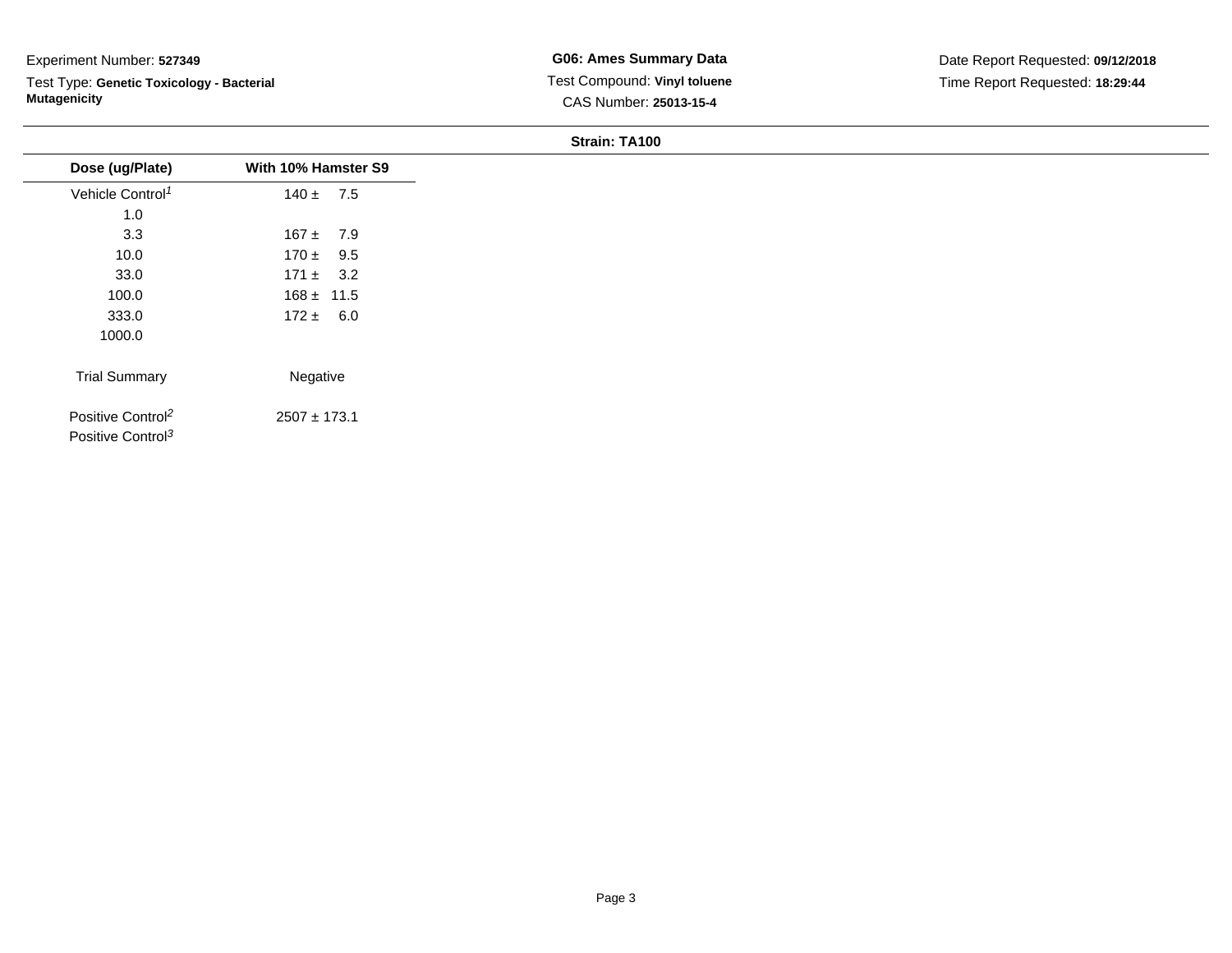Test Type: **Genetic Toxicology - Bacterial Mutagenicity**

|  | Strain: TA100 |  |
|--|---------------|--|
|--|---------------|--|

|                                                                |                     | <b>JUQUIL IMIVU</b> |  |
|----------------------------------------------------------------|---------------------|---------------------|--|
| Dose (ug/Plate)                                                | With 10% Hamster S9 |                     |  |
| Vehicle Control <sup>1</sup>                                   | $140 \pm 7.5$       |                     |  |
| 1.0                                                            |                     |                     |  |
| 3.3                                                            | $167 \pm 7.9$       |                     |  |
| 10.0                                                           | $170 \pm 9.5$       |                     |  |
| 33.0                                                           | $171 \pm 3.2$       |                     |  |
| 100.0                                                          | $168 \pm 11.5$      |                     |  |
| 333.0                                                          | $172 \pm 6.0$       |                     |  |
| 1000.0                                                         |                     |                     |  |
| <b>Trial Summary</b>                                           | Negative            |                     |  |
| Positive Control <sup>2</sup><br>Positive Control <sup>3</sup> | $2507 \pm 173.1$    |                     |  |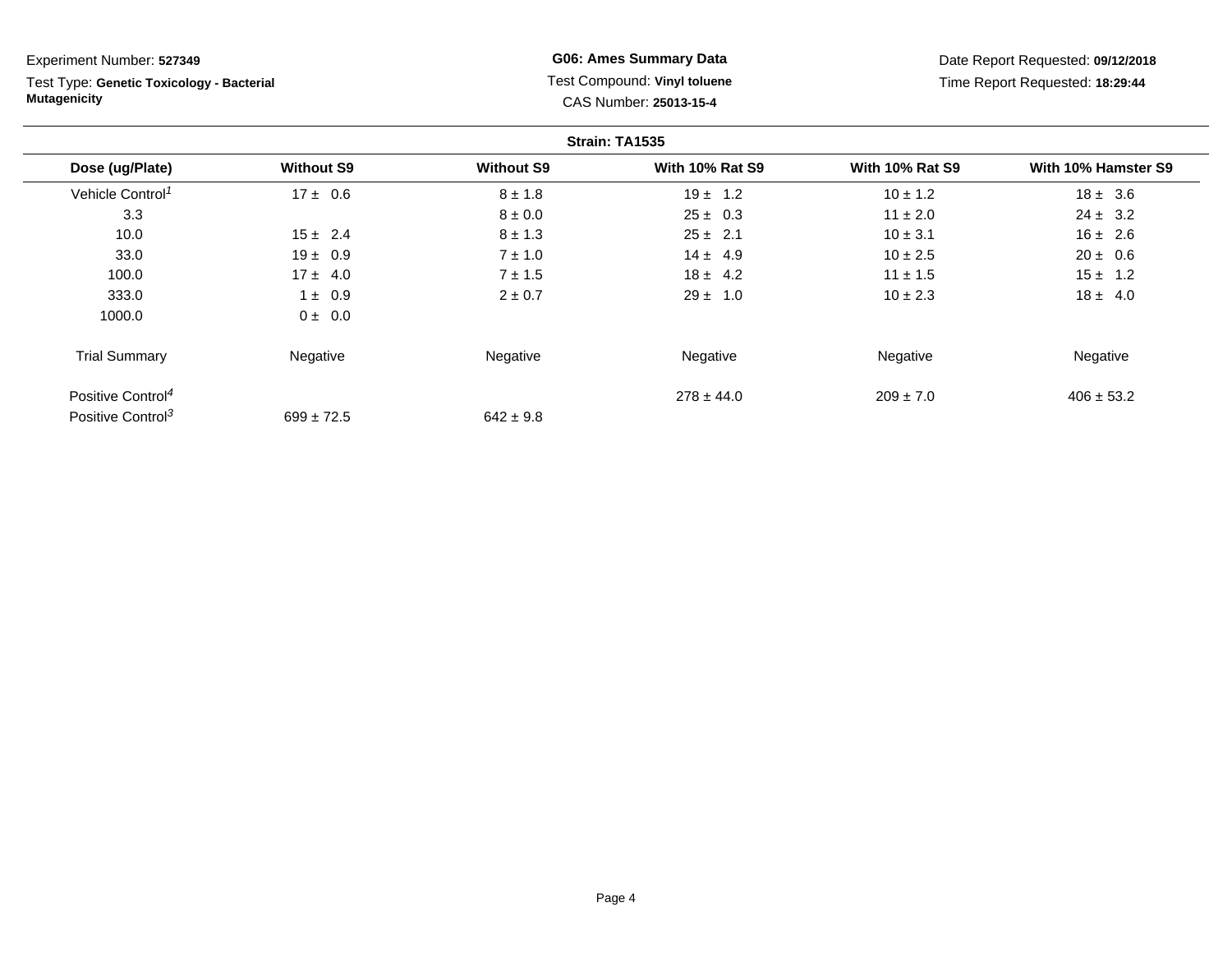Experiment Number: **527349**Test Type: **Genetic Toxicology - Bacterial Mutagenicity** **G06: Ames Summary Data** Test Compound: **Vinyl toluene**CAS Number: **25013-15-4**

Date Report Requested: **09/12/2018**Time Report Requested: **18:29:44**

|                               |                   |                   | Strain: TA1535         |                        |                     |
|-------------------------------|-------------------|-------------------|------------------------|------------------------|---------------------|
| Dose (ug/Plate)               | <b>Without S9</b> | <b>Without S9</b> | <b>With 10% Rat S9</b> | <b>With 10% Rat S9</b> | With 10% Hamster S9 |
| Vehicle Control <sup>1</sup>  | $17 \pm 0.6$      | $8 \pm 1.8$       | $19 \pm 1.2$           | $10 \pm 1.2$           | $18 \pm 3.6$        |
| 3.3                           |                   | $8 \pm 0.0$       | $25 \pm 0.3$           | $11 \pm 2.0$           | $24 \pm 3.2$        |
| 10.0                          | $15 \pm 2.4$      | $8 \pm 1.3$       | $25 \pm 2.1$           | $10 \pm 3.1$           | $16 \pm 2.6$        |
| 33.0                          | $19 \pm 0.9$      | $7 \pm 1.0$       | $14 \pm 4.9$           | $10 \pm 2.5$           | $20 \pm 0.6$        |
| 100.0                         | $17 \pm 4.0$      | $7 + 1.5$         | $18 \pm 4.2$           | $11 \pm 1.5$           | $15 \pm 1.2$        |
| 333.0                         | $1 \pm 0.9$       | $2 \pm 0.7$       | $29 \pm 1.0$           | $10 \pm 2.3$           | $18 \pm 4.0$        |
| 1000.0                        | $0 \pm 0.0$       |                   |                        |                        |                     |
| <b>Trial Summary</b>          | Negative          | Negative          | Negative               | Negative               | Negative            |
| Positive Control <sup>4</sup> |                   |                   | $278 \pm 44.0$         | $209 \pm 7.0$          | $406 \pm 53.2$      |
| Positive Control <sup>3</sup> | $699 \pm 72.5$    | $642 \pm 9.8$     |                        |                        |                     |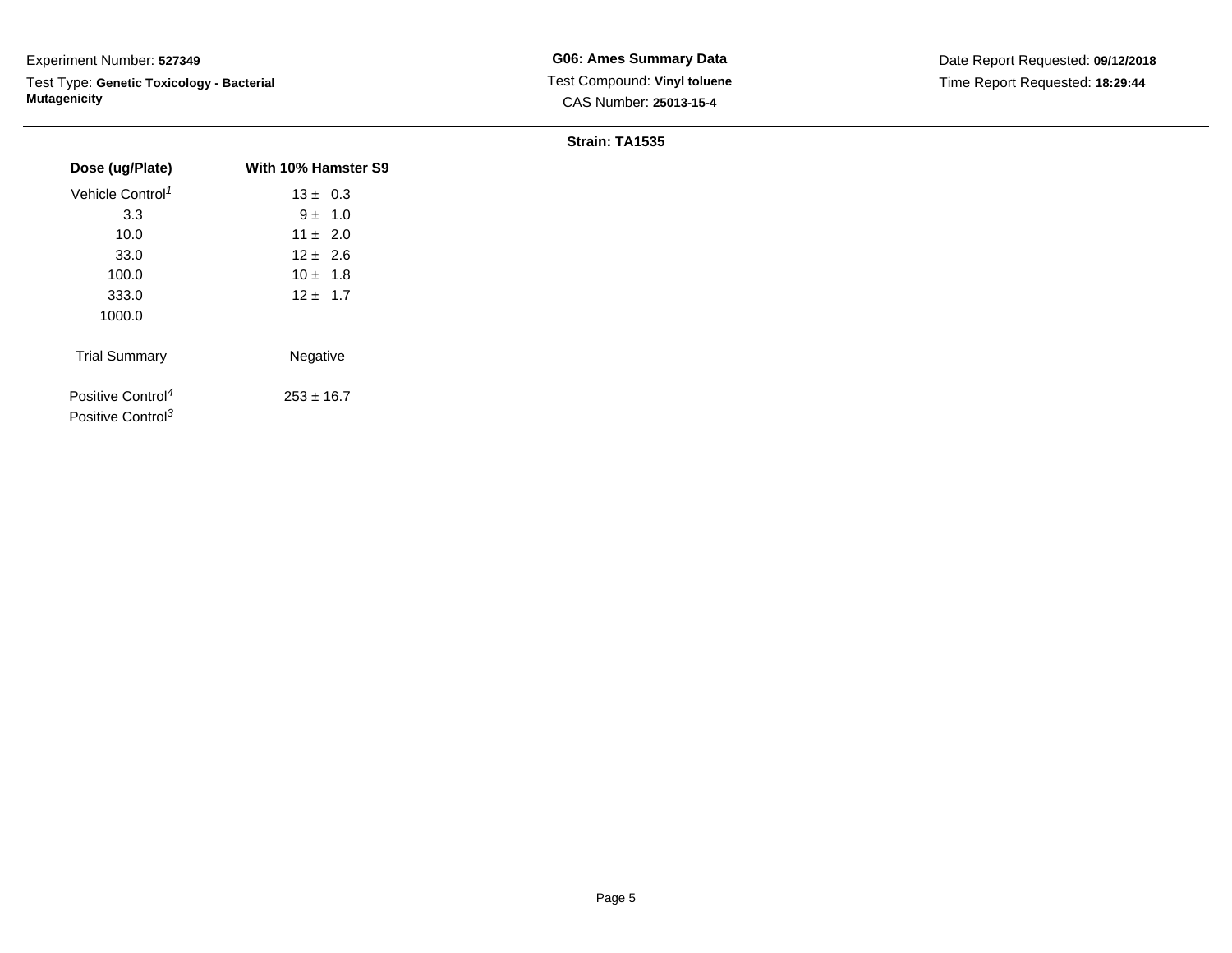Test Type: **Genetic Toxicology - Bacterial Mutagenicity**

#### **Strain: TA1535**

| With 10% Hamster S9 |
|---------------------|
| $13 \pm 0.3$        |
| $9 \pm 1.0$         |
| $11 \pm 2.0$        |
| $12 \pm 2.6$        |
| $10 \pm 1.8$        |
| $12 \pm 1.7$        |
|                     |
| Negative            |
| $253 \pm 16.7$      |
|                     |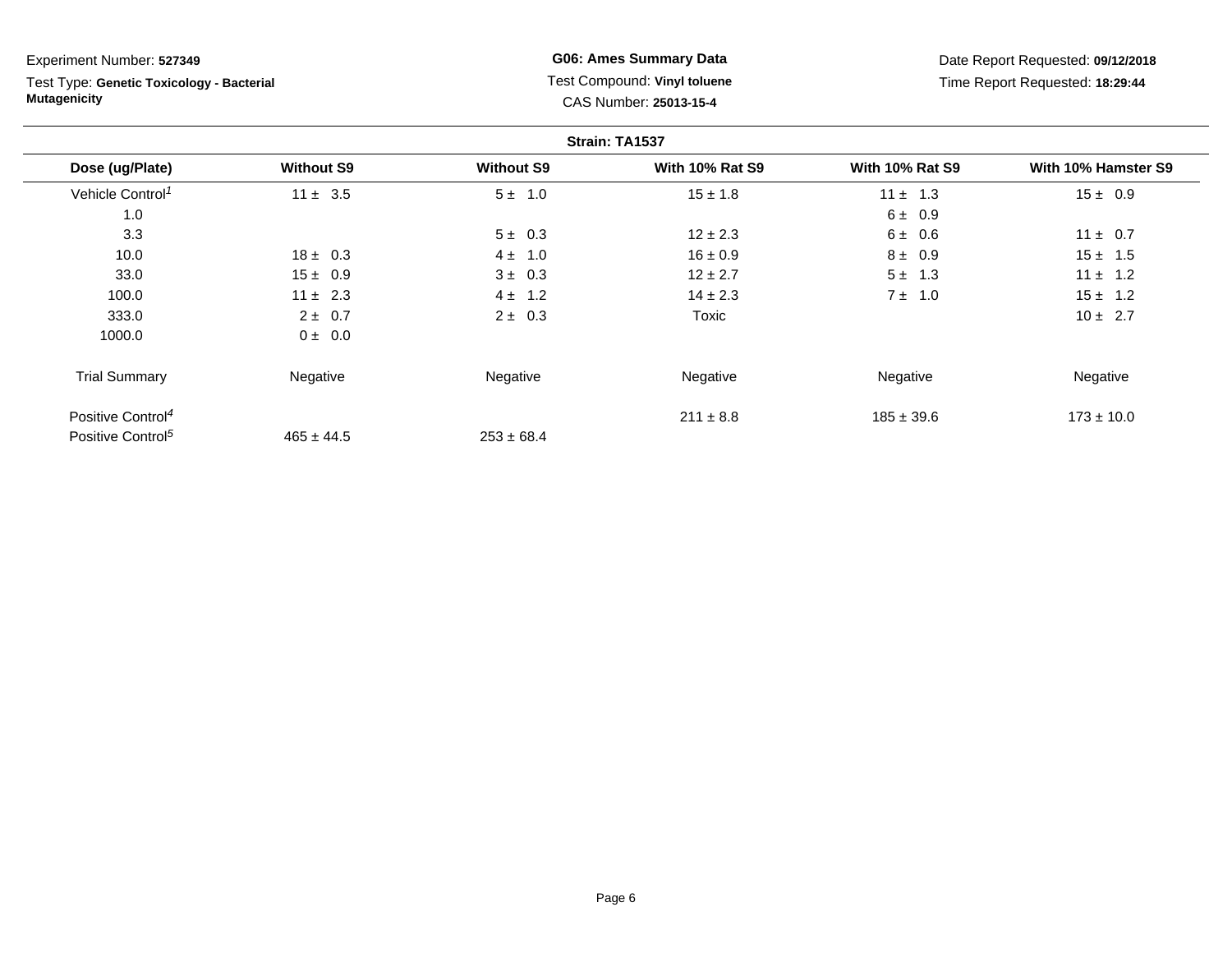Test Type: **Genetic Toxicology - Bacterial Mutagenicity**

**G06: Ames Summary Data** Test Compound: **Vinyl toluene**CAS Number: **25013-15-4**

Date Report Requested: **09/12/2018**Time Report Requested: **18:29:44**

|                               |                   |                   | Strain: TA1537         |                        |                     |
|-------------------------------|-------------------|-------------------|------------------------|------------------------|---------------------|
| Dose (ug/Plate)               | <b>Without S9</b> | <b>Without S9</b> | <b>With 10% Rat S9</b> | <b>With 10% Rat S9</b> | With 10% Hamster S9 |
| Vehicle Control <sup>1</sup>  | $11 \pm 3.5$      | $5 \pm 1.0$       | $15 \pm 1.8$           | $11 \pm 1.3$           | $15 \pm 0.9$        |
| 1.0                           |                   |                   |                        | $6 \pm 0.9$            |                     |
| 3.3                           |                   | $5 \pm 0.3$       | $12 \pm 2.3$           | $6 \pm 0.6$            | $11 \pm 0.7$        |
| 10.0                          | $18 \pm 0.3$      | $4 \pm 1.0$       | $16 \pm 0.9$           | $8 \pm 0.9$            | $15 \pm 1.5$        |
| 33.0                          | $15 \pm 0.9$      | $3 \pm 0.3$       | $12 \pm 2.7$           | $5 \pm 1.3$            | $11 \pm 1.2$        |
| 100.0                         | $11 \pm 2.3$      | $4 \pm 1.2$       | $14 \pm 2.3$           | $7 \pm 1.0$            | $15 \pm 1.2$        |
| 333.0                         | $2 \pm 0.7$       | $2 \pm 0.3$       | Toxic                  |                        | $10 \pm 2.7$        |
| 1000.0                        | $0 \pm 0.0$       |                   |                        |                        |                     |
| <b>Trial Summary</b>          | Negative          | Negative          | Negative               | Negative               | Negative            |
| Positive Control <sup>4</sup> |                   |                   | $211 \pm 8.8$          | $185 \pm 39.6$         | $173 \pm 10.0$      |
| Positive Control <sup>5</sup> | $465 \pm 44.5$    | $253 \pm 68.4$    |                        |                        |                     |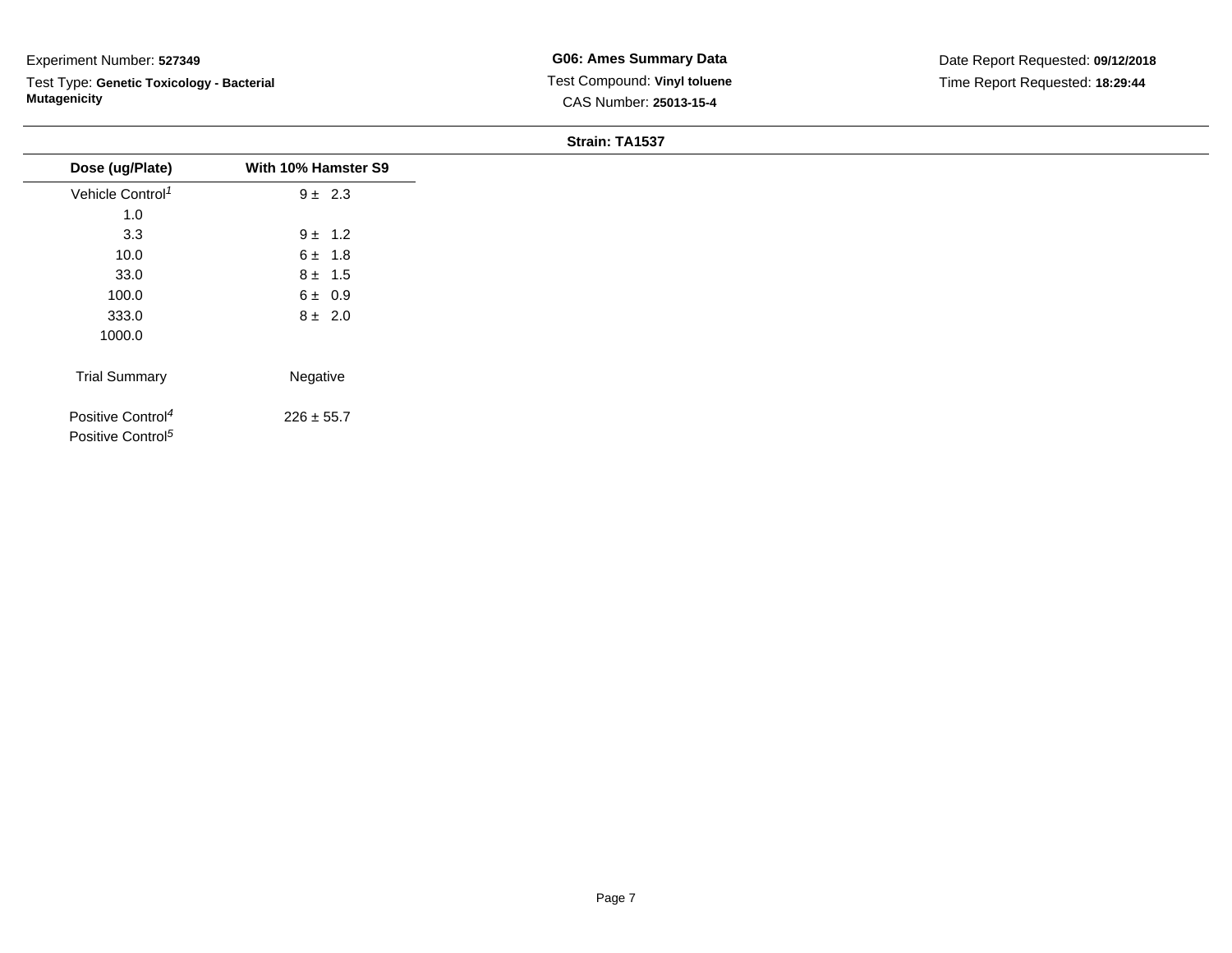Test Type: **Genetic Toxicology - Bacterial Mutagenicity**

## **Strain: TA1537**

| Dose (ug/Plate)                                                | With 10% Hamster S9 |
|----------------------------------------------------------------|---------------------|
| Vehicle Control <sup>1</sup>                                   | $9 \pm 2.3$         |
| 1.0                                                            |                     |
| 3.3                                                            | $9 \pm 1.2$         |
| 10.0                                                           | $6 \pm 1.8$         |
| 33.0                                                           | $8 \pm 1.5$         |
| 100.0                                                          | $6 \pm 0.9$         |
| 333.0                                                          | $8 \pm 2.0$         |
| 1000.0                                                         |                     |
| <b>Trial Summary</b>                                           | Negative            |
|                                                                |                     |
| Positive Control <sup>4</sup><br>Positive Control <sup>5</sup> | $226 \pm 55.7$      |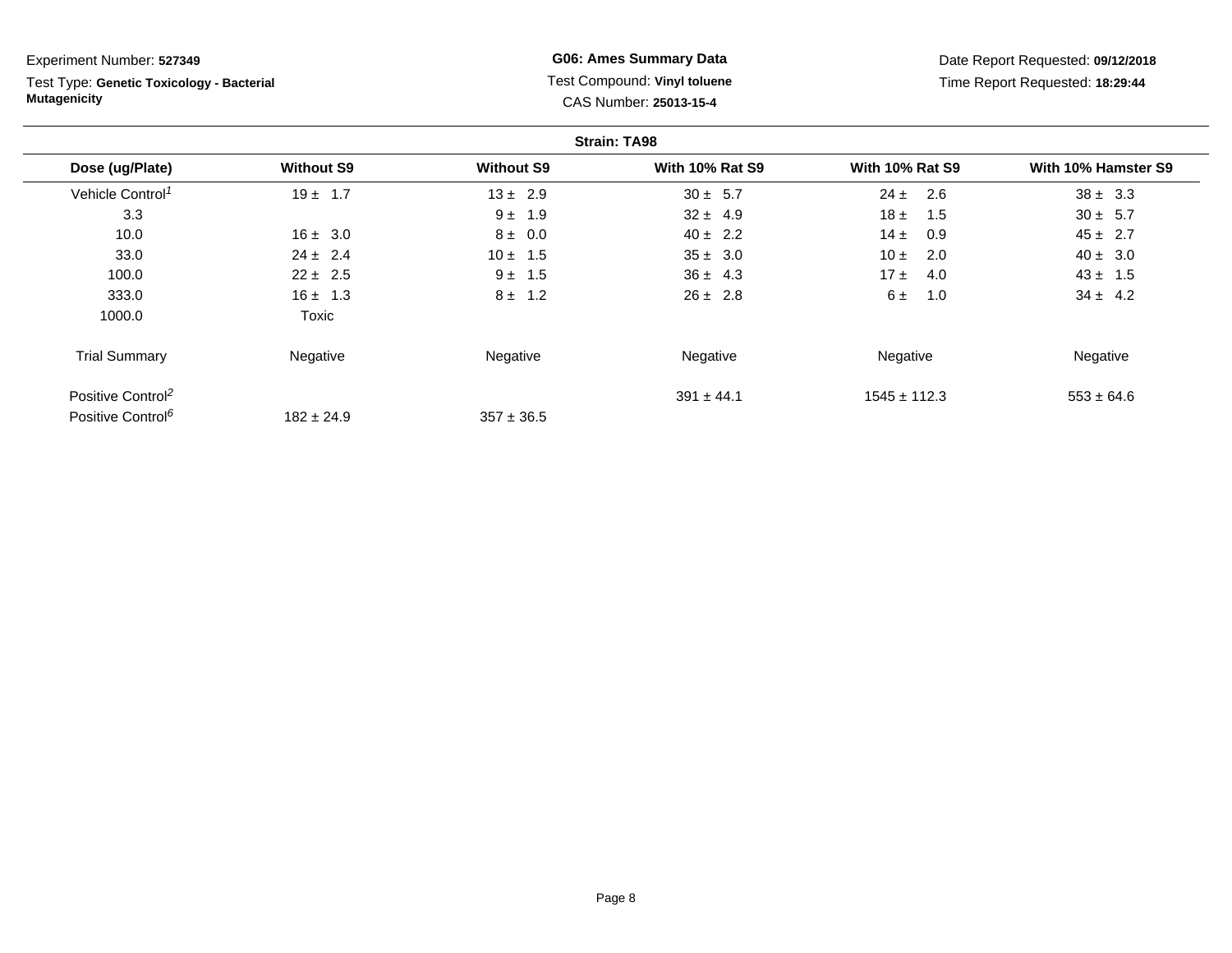Test Type: **Genetic Toxicology - Bacterial Mutagenicity**

**G06: Ames Summary Data** Test Compound: **Vinyl toluene**CAS Number: **25013-15-4**

Date Report Requested: **09/12/2018**Time Report Requested: **18:29:44**

|                               |                   |                   | <b>Strain: TA98</b>    |                        |                     |
|-------------------------------|-------------------|-------------------|------------------------|------------------------|---------------------|
| Dose (ug/Plate)               | <b>Without S9</b> | <b>Without S9</b> | <b>With 10% Rat S9</b> | <b>With 10% Rat S9</b> | With 10% Hamster S9 |
| Vehicle Control <sup>1</sup>  | $19 \pm 1.7$      | $13 \pm 2.9$      | $30 \pm 5.7$           | 2.6<br>$24 \pm$        | $38 \pm 3.3$        |
| 3.3                           |                   | $9 \pm 1.9$       | $32 \pm 4.9$           | $18 \pm$<br>1.5        | $30 \pm 5.7$        |
| 10.0                          | $16 \pm 3.0$      | $8 \pm 0.0$       | $40 \pm 2.2$           | $14 \pm$<br>0.9        | $45 \pm 2.7$        |
| 33.0                          | $24 \pm 2.4$      | $10 \pm 1.5$      | $35 \pm 3.0$           | 10 $\pm$<br>2.0        | $40 \pm 3.0$        |
| 100.0                         | $22 \pm 2.5$      | $9 \pm 1.5$       | $36 \pm 4.3$           | 17±<br>4.0             | $43 \pm 1.5$        |
| 333.0                         | $16 \pm 1.3$      | $8 \pm 1.2$       | $26 \pm 2.8$           | 1.0<br>$6 \pm$         | $34 \pm 4.2$        |
| 1000.0                        | <b>Toxic</b>      |                   |                        |                        |                     |
| <b>Trial Summary</b>          | Negative          | Negative          | Negative               | Negative               | Negative            |
| Positive Control <sup>2</sup> |                   |                   | $391 \pm 44.1$         | $1545 \pm 112.3$       | $553 \pm 64.6$      |
| Positive Control <sup>6</sup> | $182 \pm 24.9$    | $357 \pm 36.5$    |                        |                        |                     |

Page 8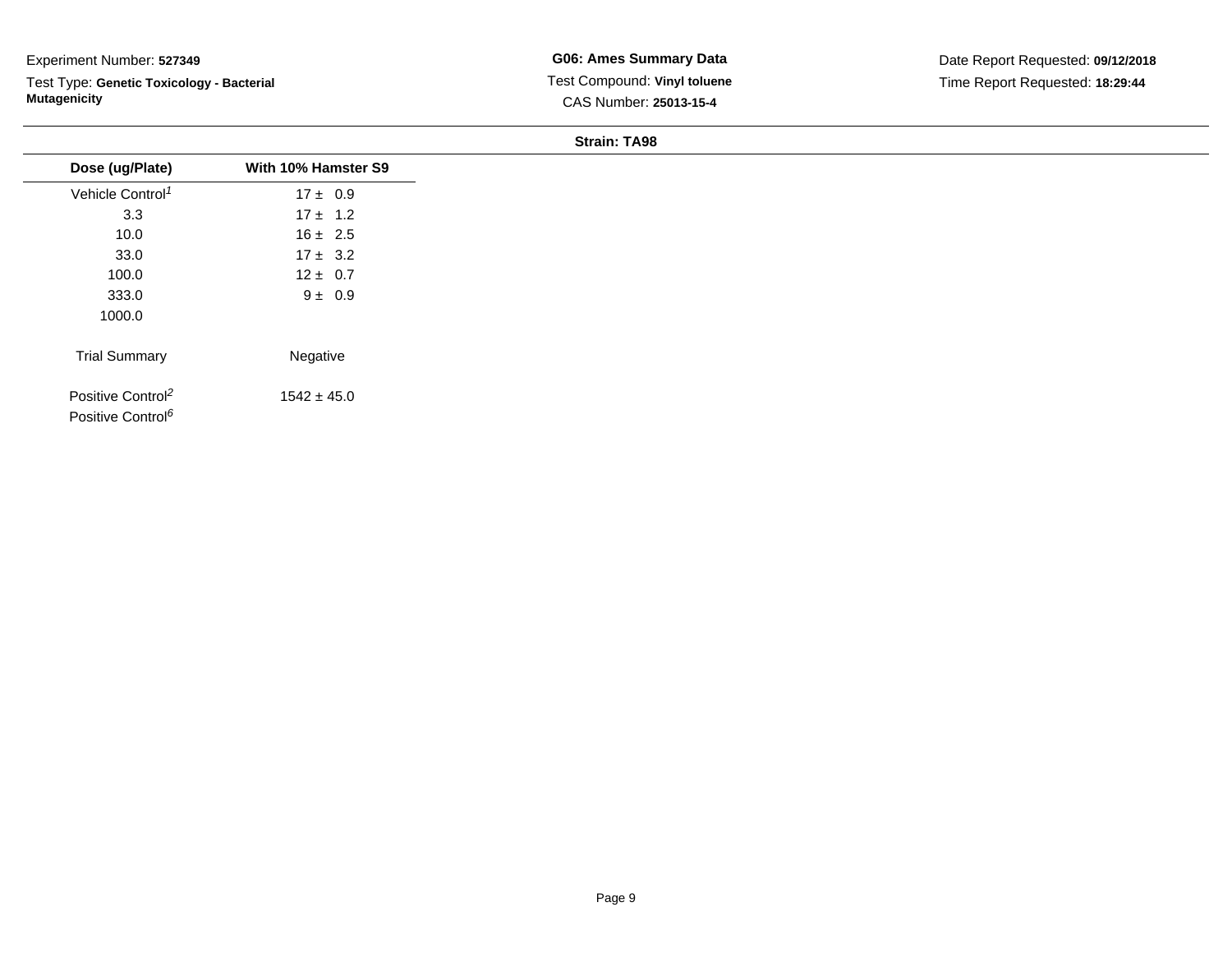Test Type: **Genetic Toxicology - Bacterial Mutagenicity**

| <b>Strain: TA98</b> |  |
|---------------------|--|
|                     |  |

| Dose (ug/Plate)                                                | With 10% Hamster S9 |
|----------------------------------------------------------------|---------------------|
| Vehicle Control <sup>1</sup>                                   | $17 \pm 0.9$        |
| 3.3                                                            | $17 \pm 1.2$        |
| 10.0                                                           | $16 \pm 2.5$        |
| 33.0                                                           | $17 \pm 3.2$        |
| 100.0                                                          | $12 \pm 0.7$        |
| 333.0                                                          | $9 \pm 0.9$         |
| 1000.0                                                         |                     |
| <b>Trial Summary</b>                                           | Negative            |
| Positive Control <sup>2</sup><br>Positive Control <sup>6</sup> | $1542 \pm 45.0$     |
|                                                                |                     |